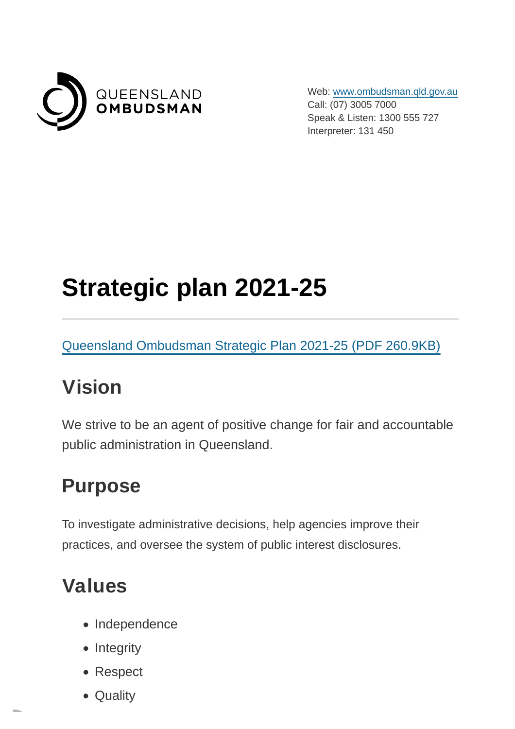

Web: [www.ombudsman.qld.gov.au](https://www.ombudsman.qld.gov.au/) Call: (07) 3005 7000 Speak & Listen: 1300 555 727 Interpreter: 131 450

# **Strategic plan 2021-25**

[Queensland Ombudsman Strategic Plan 2021-25 \(PDF](https://www.ombudsman.qld.gov.au/ArticleDocuments/261/2022-03-18%20Strategic%20Plan%20review%202022%20FINAL.PDF.aspx) 260.9KB)

#### **Vision**

We strive to be an agent of positive change for fair and accountable public administration in Queensland.

## **Purpose**

To investigate administrative decisions, help agencies improve their practices, and oversee the system of public interest disclosures.

#### **Values**

- Independence
- $\bullet$  Integrity
- Respect
- Quality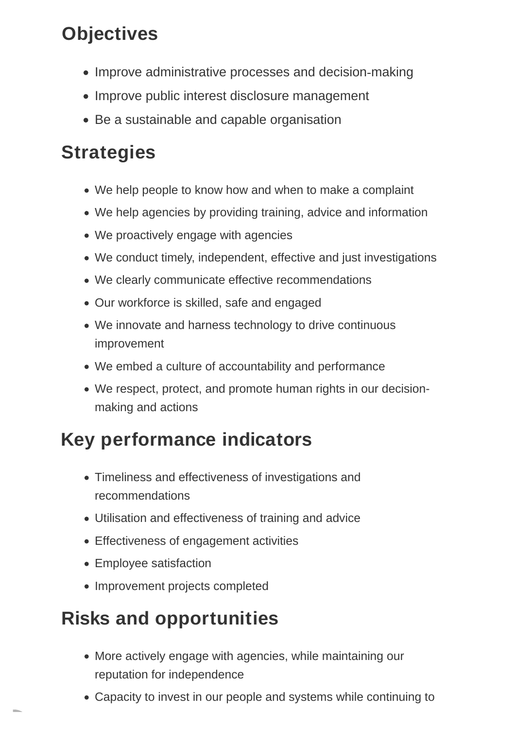# **Objectives**

- Improve administrative processes and decision-making
- Improve public interest disclosure management
- Be a sustainable and capable organisation

# **Strategies**

- We help people to know how and when to make a complaint
- We help agencies by providing training, advice and information
- We proactively engage with agencies
- We conduct timely, independent, effective and just investigations
- We clearly communicate effective recommendations
- Our workforce is skilled, safe and engaged
- We innovate and harness technology to drive continuous improvement
- We embed a culture of accountability and performance
- We respect, protect, and promote human rights in our decisionmaking and actions

## **Key performance indicators**

- Timeliness and effectiveness of investigations and recommendations
- Utilisation and effectiveness of training and advice
- Effectiveness of engagement activities
- Employee satisfaction
- Improvement projects completed

## **Risks and opportunities**

- More actively engage with agencies, while maintaining our reputation for independence
- Capacity to invest in our people and systems while continuing to